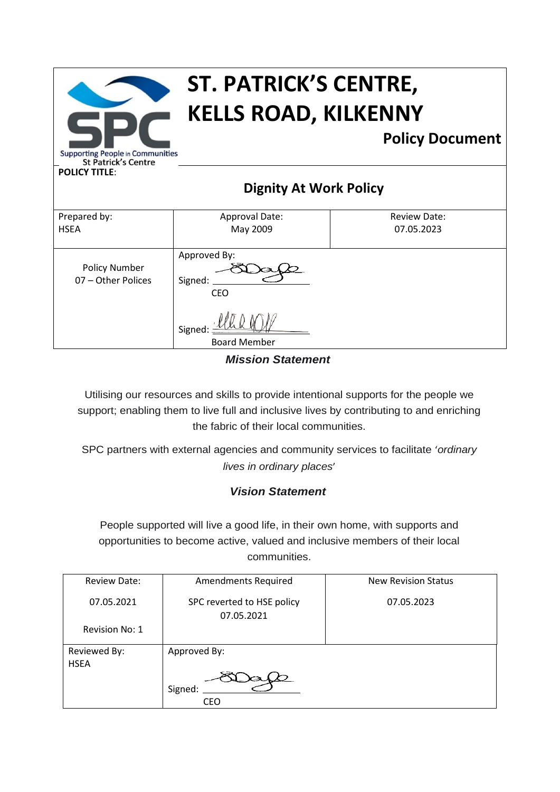| <b>ST. PATRICK'S CENTRE,</b><br><b>KELLS ROAD, KILKENNY</b>                                                             |                                                                        |                                   |  |  |
|-------------------------------------------------------------------------------------------------------------------------|------------------------------------------------------------------------|-----------------------------------|--|--|
| <b>Policy Document</b><br><b>Supporting People in Communities</b><br><b>St Patrick's Centre</b><br><b>POLICY TITLE:</b> |                                                                        |                                   |  |  |
| <b>Dignity At Work Policy</b>                                                                                           |                                                                        |                                   |  |  |
| Prepared by:<br><b>HSEA</b>                                                                                             | Approval Date:<br>May 2009                                             | <b>Review Date:</b><br>07.05.2023 |  |  |
| <b>Policy Number</b><br>07 - Other Polices                                                                              | Approved By:<br>Signed:<br><b>CEO</b><br>Signed<br><b>Board Member</b> |                                   |  |  |

*Mission Statement*

Utilising our resources and skills to provide intentional supports for the people we support; enabling them to live full and inclusive lives by contributing to and enriching the fabric of their local communities.

SPC partners with external agencies and community services to facilitate '*ordinary lives in ordinary places*'

### *Vision Statement*

People supported will live a good life, in their own home, with supports and opportunities to become active, valued and inclusive members of their local communities.

| <b>Review Date:</b>         | <b>Amendments Required</b>               | <b>New Revision Status</b> |
|-----------------------------|------------------------------------------|----------------------------|
| 07.05.2021                  | SPC reverted to HSE policy<br>07.05.2021 | 07.05.2023                 |
| Revision No: 1              |                                          |                            |
| Reviewed By:<br><b>HSEA</b> | Approved By:                             |                            |
|                             | Signed:                                  |                            |
|                             | CEO                                      |                            |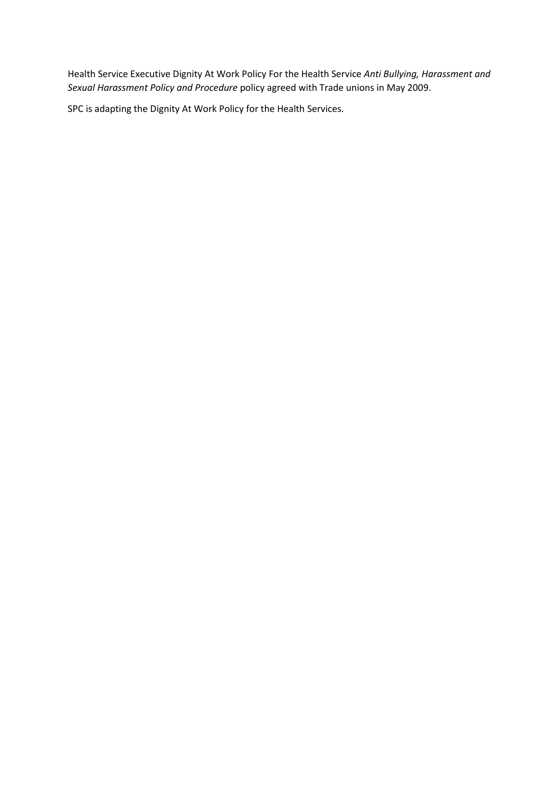Health Service Executive Dignity At Work Policy For the Health Service *Anti Bullying, Harassment and Sexual Harassment Policy and Procedure* policy agreed with Trade unions in May 2009.

SPC is adapting the Dignity At Work Policy for the Health Services.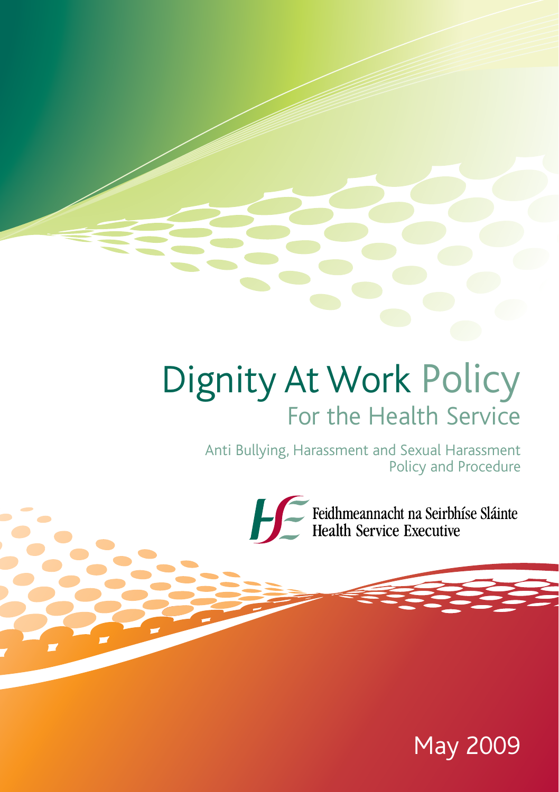# Dignity At Work Policy For the Health Service

Anti Bullying, Harassment and Sexual Harassment Policy and Procedure



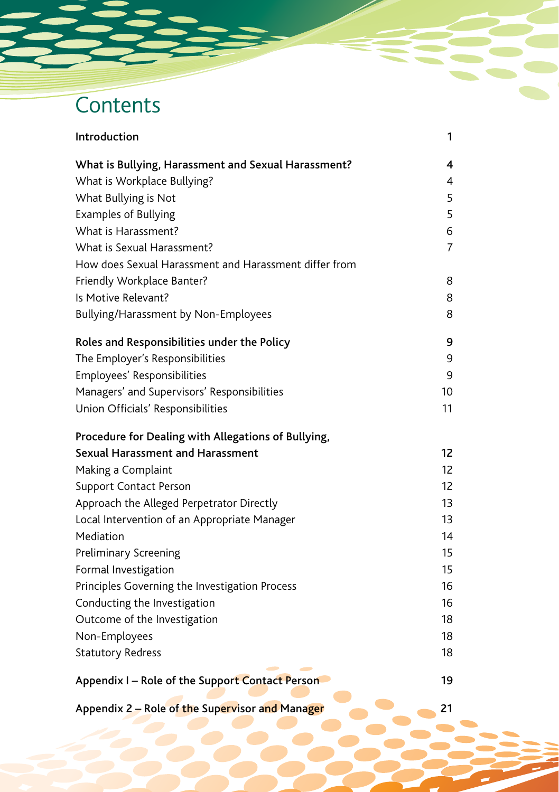# **Contents**

| Introduction                                          | 1                 |
|-------------------------------------------------------|-------------------|
| What is Bullying, Harassment and Sexual Harassment?   | 4                 |
| What is Workplace Bullying?                           | 4                 |
| What Bullying is Not                                  | 5                 |
| <b>Examples of Bullying</b>                           | 5                 |
| What is Harassment?                                   | 6                 |
| What is Sexual Harassment?                            | 7                 |
| How does Sexual Harassment and Harassment differ from |                   |
| Friendly Workplace Banter?                            | 8                 |
| Is Motive Relevant?                                   | 8                 |
| Bullying/Harassment by Non-Employees                  | 8                 |
| Roles and Responsibilities under the Policy           | 9                 |
| The Employer's Responsibilities                       | 9                 |
| Employees' Responsibilities                           | 9                 |
| Managers' and Supervisors' Responsibilities           | 10                |
| Union Officials' Responsibilities                     | 11                |
| Procedure for Dealing with Allegations of Bullying,   |                   |
| <b>Sexual Harassment and Harassment</b>               | 12                |
| Making a Complaint                                    | 12                |
| <b>Support Contact Person</b>                         | $12 \overline{ }$ |
| Approach the Alleged Perpetrator Directly             | 13                |
| Local Intervention of an Appropriate Manager          | 13                |
| Mediation                                             | 14                |
| Preliminary Screening                                 | 15                |
| Formal Investigation                                  | 15                |
| Principles Governing the Investigation Process        | 16                |
| Conducting the Investigation                          | 16                |
| Outcome of the Investigation                          | 18                |
| Non-Employees                                         | 18                |
| <b>Statutory Redress</b>                              | 18                |
| Appendix I – Role of the Support Contact Person       | 19                |
| Appendix 2 - Role of the Supervisor and Manager       | 21                |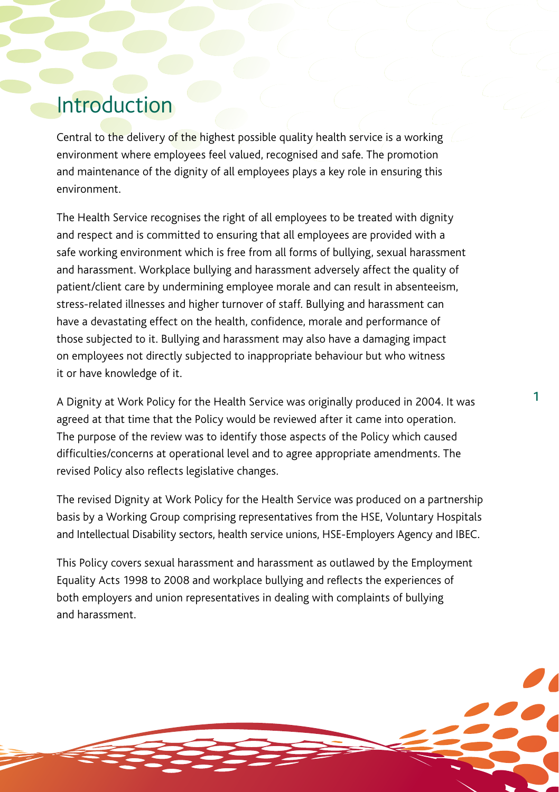### Introduction

Central to the delivery of the highest possible quality health service is a working environment where employees feel valued, recognised and safe. The promotion and maintenance of the dignity of all employees plays a key role in ensuring this environment.

The Health Service recognises the right of all employees to be treated with dignity and respect and is committed to ensuring that all employees are provided with a safe working environment which is free from all forms of bullying, sexual harassment and harassment. Workplace bullying and harassment adversely affect the quality of patient/client care by undermining employee morale and can result in absenteeism, stress-related illnesses and higher turnover of staff. Bullying and harassment can have a devastating effect on the health, confidence, morale and performance of those subjected to it. Bullying and harassment may also have a damaging impact on employees not directly subjected to inappropriate behaviour but who witness it or have knowledge of it.

A Dignity at Work Policy for the Health Service was originally produced in 2004. It was agreed at that time that the Policy would be reviewed after it came into operation. The purpose of the review was to identify those aspects of the Policy which caused difficulties/concerns at operational level and to agree appropriate amendments. The revised Policy also reflects legislative changes.

1

The revised Dignity at Work Policy for the Health Service was produced on a partnership basis by a Working Group comprising representatives from the HSE, Voluntary Hospitals and Intellectual Disability sectors, health service unions, HSE-Employers Agency and IBEC.

This Policy covers sexual harassment and harassment as outlawed by the Employment Equality Acts 1998 to 2008 and workplace bullying and reflects the experiences of both employers and union representatives in dealing with complaints of bullying and harassment.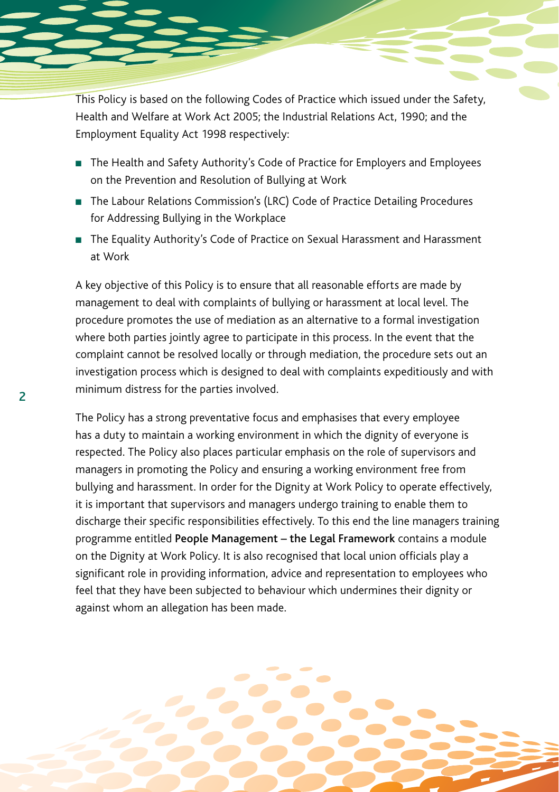This Policy is based on the following Codes of Practice which issued under the Safety, Health and Welfare at Work Act 2005; the Industrial Relations Act, 1990; and the Employment Equality Act 1998 respectively:

- The Health and Safety Authority's Code of Practice for Employers and Employees on the Prevention and Resolution of Bullying at Work
- The Labour Relations Commission's (LRC) Code of Practice Detailing Procedures for Addressing Bullying in the Workplace
- The Equality Authority's Code of Practice on Sexual Harassment and Harassment at Work

A key objective of this Policy is to ensure that all reasonable efforts are made by management to deal with complaints of bullying or harassment at local level. The procedure promotes the use of mediation as an alternative to a formal investigation where both parties jointly agree to participate in this process. In the event that the complaint cannot be resolved locally or through mediation, the procedure sets out an investigation process which is designed to deal with complaints expeditiously and with minimum distress for the parties involved.

2

The Policy has a strong preventative focus and emphasises that every employee has a duty to maintain a working environment in which the dignity of everyone is respected. The Policy also places particular emphasis on the role of supervisors and managers in promoting the Policy and ensuring a working environment free from bullying and harassment. In order for the Dignity at Work Policy to operate effectively, it is important that supervisors and managers undergo training to enable them to discharge their specific responsibilities effectively. To this end the line managers training programme entitled People Management – the Legal Framework contains a module on the Dignity at Work Policy. It is also recognised that local union officials play a significant role in providing information, advice and representation to employees who feel that they have been subjected to behaviour which undermines their dignity or against whom an allegation has been made.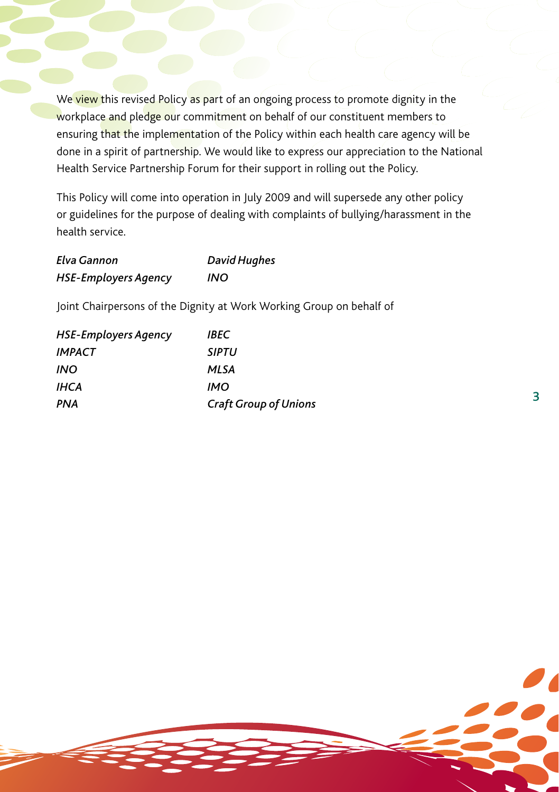We view this revised Policy as part of an ongoing process to promote dignity in the workplace and pledge our commitment on behalf of our constituent members to ensuring that the implementation of the Policy within each health care agency will be done in a spirit of partnership. We would like to express our appreciation to the National Health Service Partnership Forum for their support in rolling out the Policy.

This Policy will come into operation in July 2009 and will supersede any other policy or guidelines for the purpose of dealing with complaints of bullying/harassment in the health service.

3

| Elva Gannon                 | <b>David Hughes</b> |  |
|-----------------------------|---------------------|--|
| <b>HSE-Employers Agency</b> | INO                 |  |

Joint Chairpersons of the Dignity at Work Working Group on behalf of

| HSE-Employers Agency | IBEC                         |
|----------------------|------------------------------|
| IMPACT               | <b>SIPTU</b>                 |
| INO                  | MLSA                         |
| IHCA                 | IMO                          |
| PNA                  | <b>Craft Group of Unions</b> |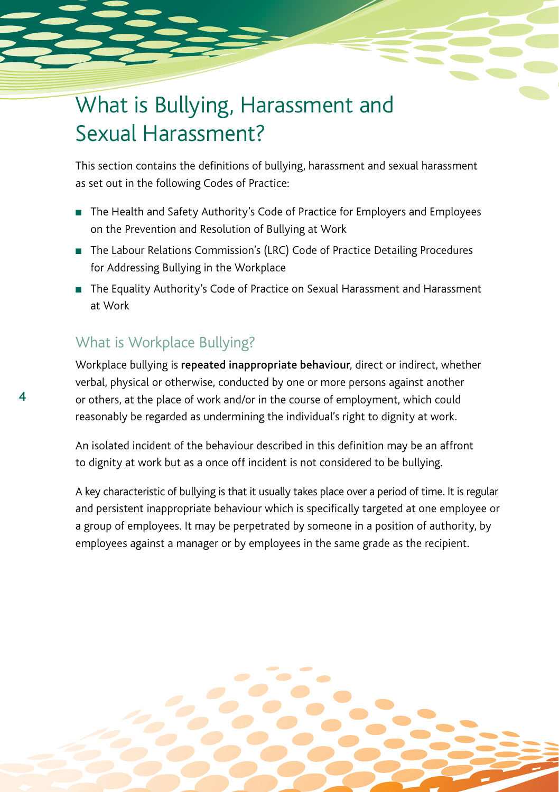### What is Bullying, Harassment and Sexual Harassment?

This section contains the definitions of bullying, harassment and sexual harassment as set out in the following Codes of Practice:

- The Health and Safety Authority's Code of Practice for Employers and Employees on the Prevention and Resolution of Bullying at Work
- The Labour Relations Commission's (LRC) Code of Practice Detailing Procedures for Addressing Bullying in the Workplace
- n The Equality Authority's Code of Practice on Sexual Harassment and Harassment at Work

### What is Workplace Bullying?

4

Workplace bullying is repeated inappropriate behaviour, direct or indirect, whether verbal, physical or otherwise, conducted by one or more persons against another or others, at the place of work and/or in the course of employment, which could reasonably be regarded as undermining the individual's right to dignity at work.

An isolated incident of the behaviour described in this definition may be an affront to dignity at work but as a once off incident is not considered to be bullying.

A key characteristic of bullying is that it usually takes place over a period of time. It is regular and persistent inappropriate behaviour which is specifically targeted at one employee or a group of employees. It may be perpetrated by someone in a position of authority, by employees against a manager or by employees in the same grade as the recipient.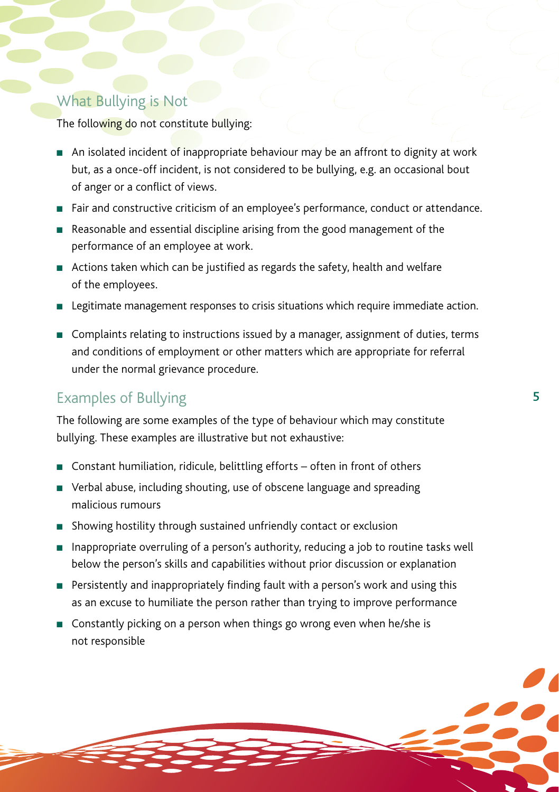### What Bullying is Not

The following do not constitute bullying:

- n An isolated incident of inappropriate behaviour may be an affront to dignity at work but, as a once-off incident, is not considered to be bullying, e.g. an occasional bout of anger or a conflict of views.
- <sup>n</sup> Fair and constructive criticism of an employee's performance, conduct or attendance.
- $\blacksquare$  Reasonable and essential discipline arising from the good management of the performance of an employee at work.
- Actions taken which can be justified as regards the safety, health and welfare of the employees.
- <sup>n</sup> Legitimate management responses to crisis situations which require immediate action.
- <sup>n</sup> Complaints relating to instructions issued by a manager, assignment of duties, terms and conditions of employment or other matters which are appropriate for referral under the normal grievance procedure.

### Examples of Bullying

The following are some examples of the type of behaviour which may constitute bullying. These examples are illustrative but not exhaustive:

- Constant humiliation, ridicule, belittling efforts often in front of others
- Verbal abuse, including shouting, use of obscene language and spreading malicious rumours
- $\blacksquare$  Showing hostility through sustained unfriendly contact or exclusion
- n Inappropriate overruling of a person's authority, reducing a job to routine tasks well below the person's skills and capabilities without prior discussion or explanation
- $\blacksquare$  Persistently and inappropriately finding fault with a person's work and using this as an excuse to humiliate the person rather than trying to improve performance
- Constantly picking on a person when things go wrong even when he/she is not responsible

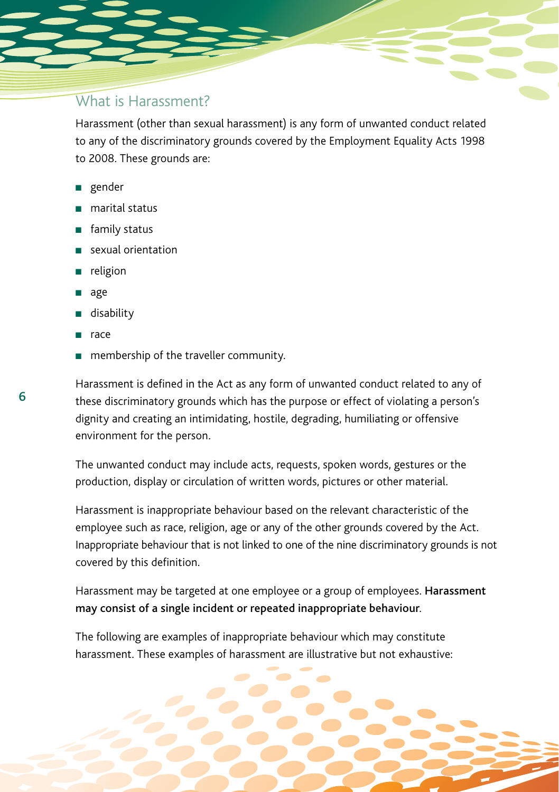### What is Harassment?

Harassment (other than sexual harassment) is any form of unwanted conduct related to any of the discriminatory grounds covered by the Employment Equality Acts 1998 to 2008. These grounds are:

- n gender
- marital status
- $\blacksquare$  family status
- sexual orientation
- religion
- age
- n disability
- race
- $\blacksquare$  membership of the traveller community.

Harassment is defined in the Act as any form of unwanted conduct related to any of these discriminatory grounds which has the purpose or effect of violating a person's dignity and creating an intimidating, hostile, degrading, humiliating or offensive environment for the person.

The unwanted conduct may include acts, requests, spoken words, gestures or the production, display or circulation of written words, pictures or other material.

Harassment is inappropriate behaviour based on the relevant characteristic of the employee such as race, religion, age or any of the other grounds covered by the Act. Inappropriate behaviour that is not linked to one of the nine discriminatory grounds is not covered by this definition.

Harassment may be targeted at one employee or a group of employees. Harassment may consist of a single incident or repeated inappropriate behaviour.

The following are examples of inappropriate behaviour which may constitute harassment. These examples of harassment are illustrative but not exhaustive:

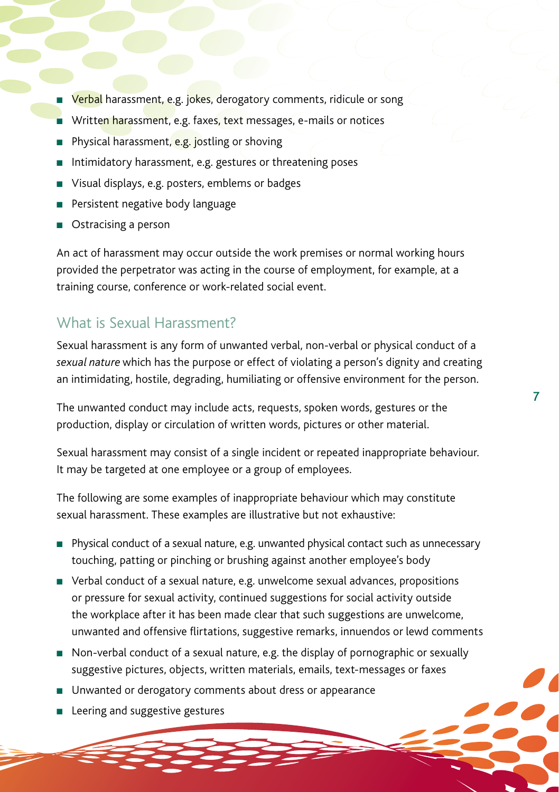- **Nerbal** harassment, e.g. jokes, derogatory comments, ridicule or song
- **n** Written harassment, e.g. faxes, text messages, e-mails or notices
- Physical harassment, e.g. jostling or shoving
- $\blacksquare$  Intimidatory harassment, e.g. gestures or threatening poses
- Visual displays, e.g. posters, emblems or badges
- **Persistent negative body language**
- Ostracising a person

An act of harassment may occur outside the work premises or normal working hours provided the perpetrator was acting in the course of employment, for example, at a training course, conference or work-related social event.

#### What is Sexual Harassment?

Sexual harassment is any form of unwanted verbal, non-verbal or physical conduct of a *sexual nature* which has the purpose or effect of violating a person's dignity and creating an intimidating, hostile, degrading, humiliating or offensive environment for the person.

7

The unwanted conduct may include acts, requests, spoken words, gestures or the production, display or circulation of written words, pictures or other material.

Sexual harassment may consist of a single incident or repeated inappropriate behaviour. It may be targeted at one employee or a group of employees.

The following are some examples of inappropriate behaviour which may constitute sexual harassment. These examples are illustrative but not exhaustive:

- <sup>n</sup> Physical conduct of a sexual nature, e.g. unwanted physical contact such as unnecessary touching, patting or pinching or brushing against another employee's body
- Verbal conduct of a sexual nature, e.g. unwelcome sexual advances, propositions or pressure for sexual activity, continued suggestions for social activity outside the workplace after it has been made clear that such suggestions are unwelcome, unwanted and offensive flirtations, suggestive remarks, innuendos or lewd comments
- <sup>n</sup> Non-verbal conduct of a sexual nature, e.g. the display of pornographic or sexually suggestive pictures, objects, written materials, emails, text-messages or faxes
- **n** Unwanted or derogatory comments about dress or appearance
- **n** Leering and suggestive gestures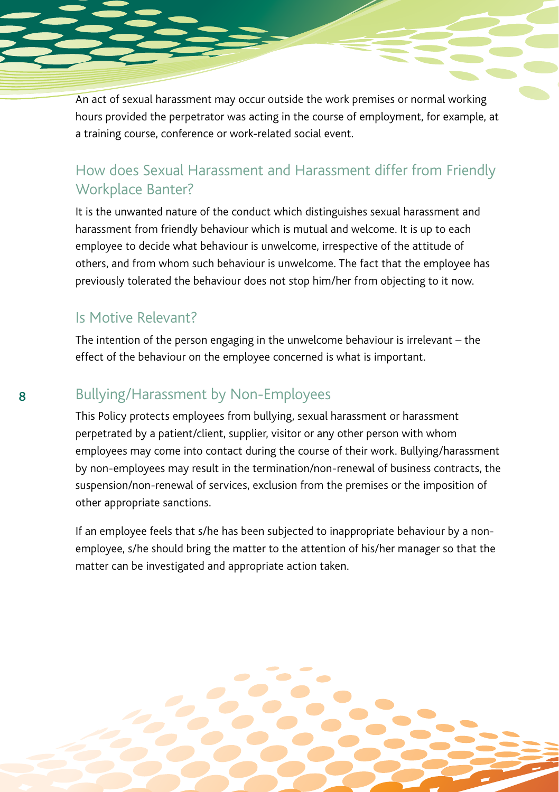An act of sexual harassment may occur outside the work premises or normal working hours provided the perpetrator was acting in the course of employment, for example, at a training course, conference or work-related social event.

### How does Sexual Harassment and Harassment differ from Friendly Workplace Banter?

It is the unwanted nature of the conduct which distinguishes sexual harassment and harassment from friendly behaviour which is mutual and welcome. It is up to each employee to decide what behaviour is unwelcome, irrespective of the attitude of others, and from whom such behaviour is unwelcome. The fact that the employee has previously tolerated the behaviour does not stop him/her from objecting to it now.

#### Is Motive Relevant?

The intention of the person engaging in the unwelcome behaviour is irrelevant – the effect of the behaviour on the employee concerned is what is important.

### Bullying/Harassment by Non-Employees

This Policy protects employees from bullying, sexual harassment or harassment perpetrated by a patient/client, supplier, visitor or any other person with whom employees may come into contact during the course of their work. Bullying/harassment by non-employees may result in the termination/non-renewal of business contracts, the suspension/non-renewal of services, exclusion from the premises or the imposition of other appropriate sanctions.

If an employee feels that s/he has been subjected to inappropriate behaviour by a nonemployee, s/he should bring the matter to the attention of his/her manager so that the matter can be investigated and appropriate action taken.

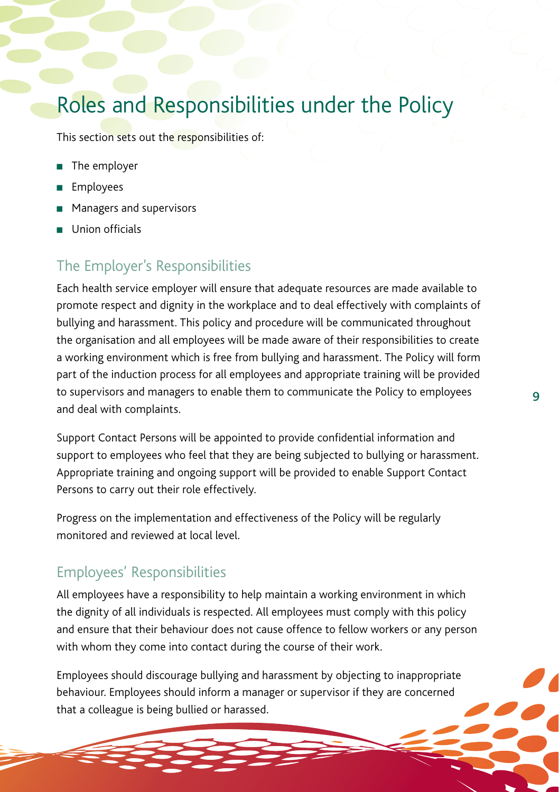### Roles and Responsibilities under the Policy

This section sets out the responsibilities of:

- The employer
- Employees
- **n** Managers and supervisors
- **n** Union officials

### The Employer's Responsibilities

Each health service employer will ensure that adequate resources are made available to promote respect and dignity in the workplace and to deal effectively with complaints of bullying and harassment. This policy and procedure will be communicated throughout the organisation and all employees will be made aware of their responsibilities to create a working environment which is free from bullying and harassment. The Policy will form part of the induction process for all employees and appropriate training will be provided to supervisors and managers to enable them to communicate the Policy to employees and deal with complaints.

Support Contact Persons will be appointed to provide confidential information and support to employees who feel that they are being subjected to bullying or harassment. Appropriate training and ongoing support will be provided to enable Support Contact Persons to carry out their role effectively.

Progress on the implementation and effectiveness of the Policy will be regularly monitored and reviewed at local level.

### Employees' Responsibilities

All employees have a responsibility to help maintain a working environment in which the dignity of all individuals is respected. All employees must comply with this policy and ensure that their behaviour does not cause offence to fellow workers or any person with whom they come into contact during the course of their work.

Employees should discourage bullying and harassment by objecting to inappropriate behaviour. Employees should inform a manager or supervisor if they are concerned that a colleague is being bullied or harassed.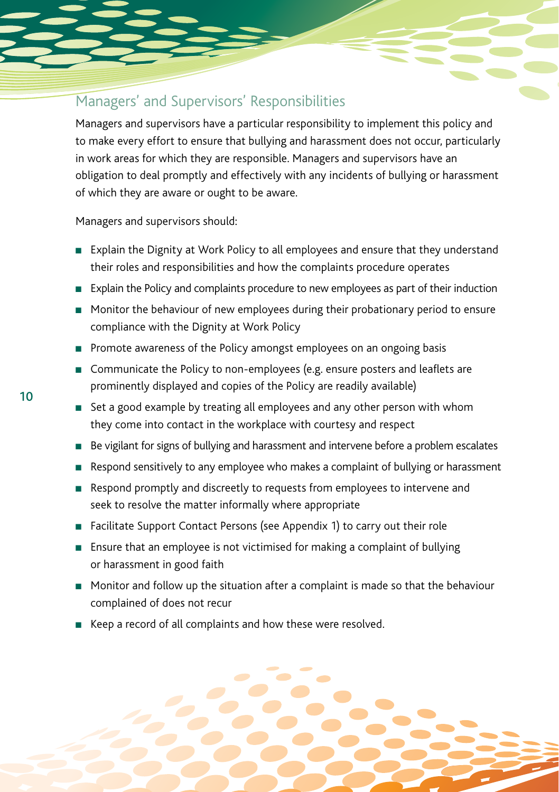### Managers' and Supervisors' Responsibilities

Managers and supervisors have a particular responsibility to implement this policy and to make every effort to ensure that bullying and harassment does not occur, particularly in work areas for which they are responsible. Managers and supervisors have an obligation to deal promptly and effectively with any incidents of bullying or harassment of which they are aware or ought to be aware.

Managers and supervisors should:

- **EXPLA** Explain the Dignity at Work Policy to all employees and ensure that they understand their roles and responsibilities and how the complaints procedure operates
- **Explain the Policy and complaints procedure to new employees as part of their induction**
- <sup>n</sup> Monitor the behaviour of new employees during their probationary period to ensure compliance with the Dignity at Work Policy
- Promote awareness of the Policy amongst employees on an ongoing basis
- Communicate the Policy to non-employees (e.g. ensure posters and leaflets are prominently displayed and copies of the Policy are readily available)
- Set a good example by treating all employees and any other person with whom they come into contact in the workplace with courtesy and respect
- Be vigilant for signs of bullying and harassment and intervene before a problem escalates
- Respond sensitively to any employee who makes a complaint of bullying or harassment
- **n** Respond promptly and discreetly to requests from employees to intervene and seek to resolve the matter informally where appropriate
- Facilitate Support Contact Persons (see Appendix 1) to carry out their role
- **Ensure that an employee is not victimised for making a complaint of bullying** or harassment in good faith
- $\blacksquare$  Monitor and follow up the situation after a complaint is made so that the behaviour complained of does not recur
- <sup>n</sup> Keep a record of all complaints and how these were resolved.



10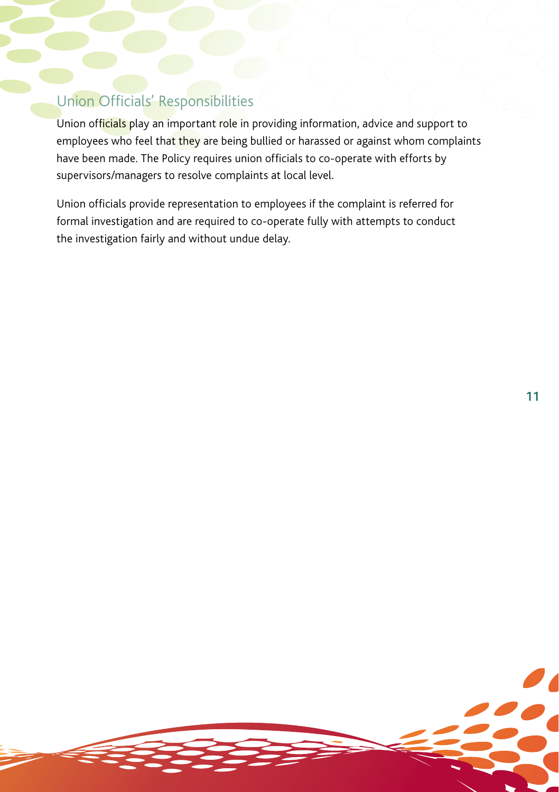### Union Officials' Responsibilities

Union officials play an important role in providing information, advice and support to employees who feel that they are being bullied or harassed or against whom complaints have been made. The Policy requires union officials to co-operate with efforts by supervisors/managers to resolve complaints at local level.

Union officials provide representation to employees if the complaint is referred for formal investigation and are required to co-operate fully with attempts to conduct the investigation fairly and without undue delay.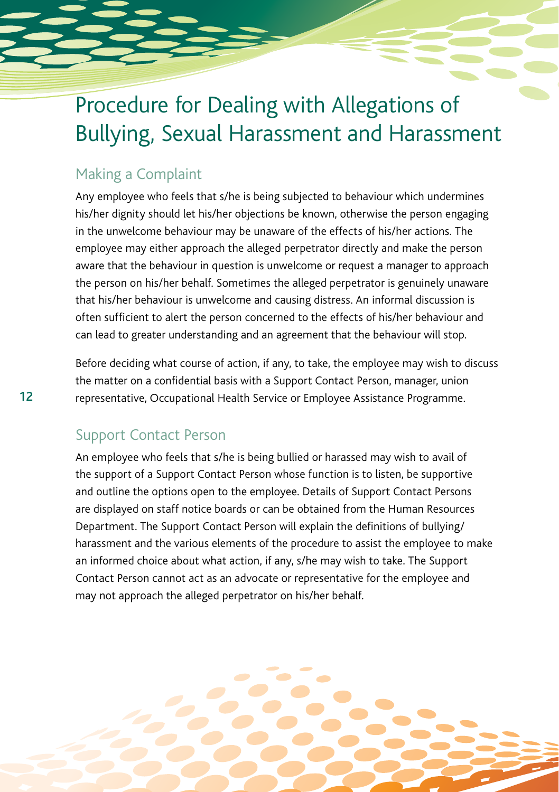# Procedure for Dealing with Allegations of Bullying, Sexual Harassment and Harassment

### Making a Complaint

Any employee who feels that s/he is being subjected to behaviour which undermines his/her dignity should let his/her objections be known, otherwise the person engaging in the unwelcome behaviour may be unaware of the effects of his/her actions. The employee may either approach the alleged perpetrator directly and make the person aware that the behaviour in question is unwelcome or request a manager to approach the person on his/her behalf. Sometimes the alleged perpetrator is genuinely unaware that his/her behaviour is unwelcome and causing distress. An informal discussion is often sufficient to alert the person concerned to the effects of his/her behaviour and can lead to greater understanding and an agreement that the behaviour will stop.

Before deciding what course of action, if any, to take, the employee may wish to discuss the matter on a confidential basis with a Support Contact Person, manager, union representative, Occupational Health Service or Employee Assistance Programme.

### Support Contact Person

12

An employee who feels that s/he is being bullied or harassed may wish to avail of the support of a Support Contact Person whose function is to listen, be supportive and outline the options open to the employee. Details of Support Contact Persons are displayed on staff notice boards or can be obtained from the Human Resources Department. The Support Contact Person will explain the definitions of bullying/ harassment and the various elements of the procedure to assist the employee to make an informed choice about what action, if any, s/he may wish to take. The Support Contact Person cannot act as an advocate or representative for the employee and may not approach the alleged perpetrator on his/her behalf.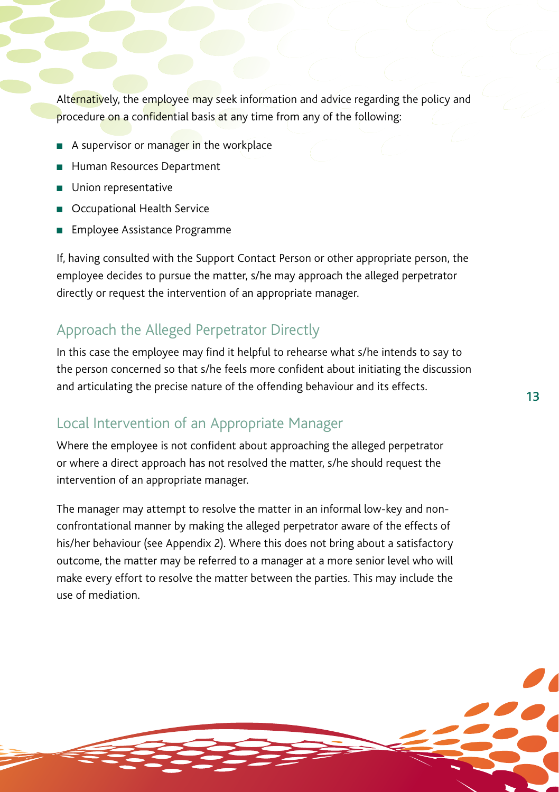Alternatively, the employee may seek information and advice regarding the policy and procedure on a confidential basis at any time from any of the following:

- A supervisor or manager in the workplace
- **Human Resources Department**
- **n** Union representative
- Occupational Health Service
- Employee Assistance Programme

If, having consulted with the Support Contact Person or other appropriate person, the employee decides to pursue the matter, s/he may approach the alleged perpetrator directly or request the intervention of an appropriate manager.

### Approach the Alleged Perpetrator Directly

In this case the employee may find it helpful to rehearse what s/he intends to say to the person concerned so that s/he feels more confident about initiating the discussion and articulating the precise nature of the offending behaviour and its effects.

13

#### Local Intervention of an Appropriate Manager

Where the employee is not confident about approaching the alleged perpetrator or where a direct approach has not resolved the matter, s/he should request the intervention of an appropriate manager.

The manager may attempt to resolve the matter in an informal low-key and nonconfrontational manner by making the alleged perpetrator aware of the effects of his/her behaviour (see Appendix 2). Where this does not bring about a satisfactory outcome, the matter may be referred to a manager at a more senior level who will make every effort to resolve the matter between the parties. This may include the use of mediation.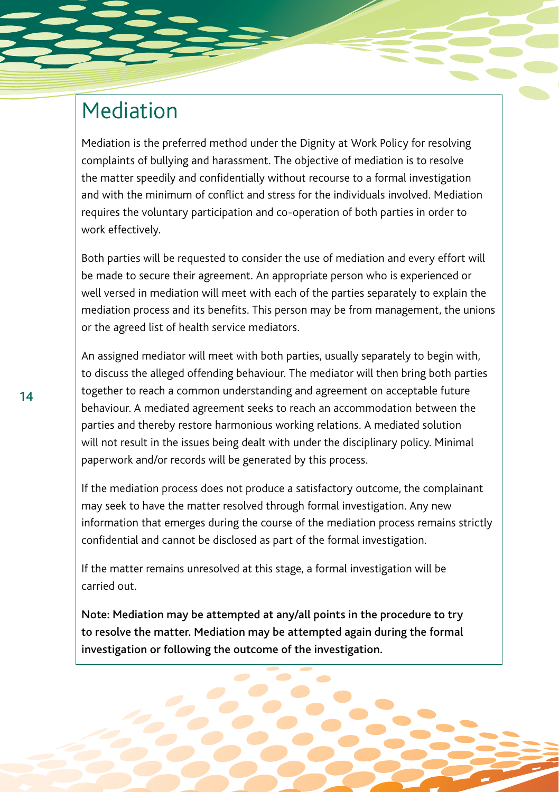### Mediation

Mediation is the preferred method under the Dignity at Work Policy for resolving complaints of bullying and harassment. The objective of mediation is to resolve the matter speedily and confidentially without recourse to a formal investigation and with the minimum of conflict and stress for the individuals involved. Mediation requires the voluntary participation and co-operation of both parties in order to work effectively.

Both parties will be requested to consider the use of mediation and every effort will be made to secure their agreement. An appropriate person who is experienced or well versed in mediation will meet with each of the parties separately to explain the mediation process and its benefits. This person may be from management, the unions or the agreed list of health service mediators.

An assigned mediator will meet with both parties, usually separately to begin with, to discuss the alleged offending behaviour. The mediator will then bring both parties together to reach a common understanding and agreement on acceptable future behaviour. A mediated agreement seeks to reach an accommodation between the parties and thereby restore harmonious working relations. A mediated solution will not result in the issues being dealt with under the disciplinary policy. Minimal paperwork and/or records will be generated by this process.

If the mediation process does not produce a satisfactory outcome, the complainant may seek to have the matter resolved through formal investigation. Any new information that emerges during the course of the mediation process remains strictly confidential and cannot be disclosed as part of the formal investigation.

If the matter remains unresolved at this stage, a formal investigation will be carried out.

Note: Mediation may be attempted at any/all points in the procedure to try to resolve the matter. Mediation may be attempted again during the formal investigation or following the outcome of the investigation.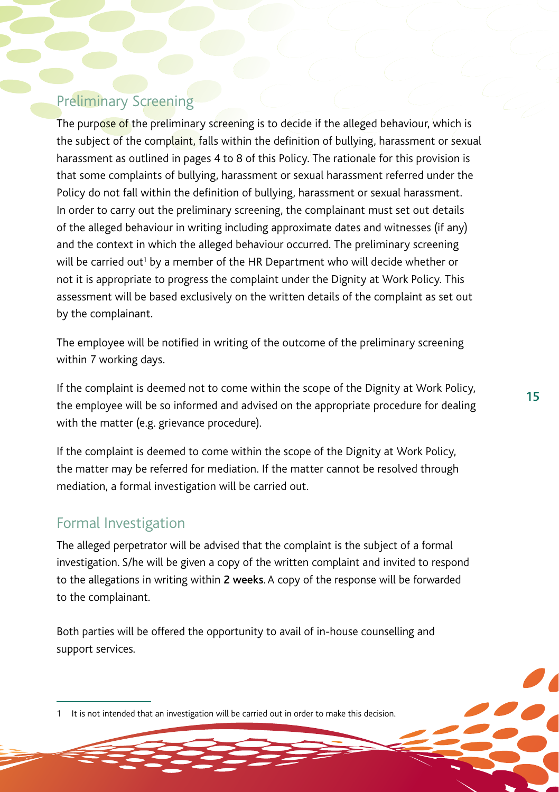### Preliminary Screening

The purpose of the preliminary screening is to decide if the alleged behaviour, which is the subject of the complaint, falls within the definition of bullying, harassment or sexual harassment as outlined in pages 4 to 8 of this Policy. The rationale for this provision is that some complaints of bullying, harassment or sexual harassment referred under the Policy do not fall within the definition of bullying, harassment or sexual harassment. In order to carry out the preliminary screening, the complainant must set out details of the alleged behaviour in writing including approximate dates and witnesses (if any) and the context in which the alleged behaviour occurred. The preliminary screening will be carried out $^{\scriptscriptstyle 1}$  by a member of the HR Department who will decide whether or not it is appropriate to progress the complaint under the Dignity at Work Policy. This assessment will be based exclusively on the written details of the complaint as set out by the complainant.

The employee will be notified in writing of the outcome of the preliminary screening within 7 working days.

If the complaint is deemed not to come within the scope of the Dignity at Work Policy, the employee will be so informed and advised on the appropriate procedure for dealing with the matter (e.g. grievance procedure).

If the complaint is deemed to come within the scope of the Dignity at Work Policy, the matter may be referred for mediation. If the matter cannot be resolved through mediation, a formal investigation will be carried out.

### Formal Investigation

The alleged perpetrator will be advised that the complaint is the subject of a formal investigation. S/he will be given a copy of the written complaint and invited to respond to the allegations in writing within 2 weeks. A copy of the response will be forwarded to the complainant.

Both parties will be offered the opportunity to avail of in-house counselling and support services.

<sup>1</sup> It is not intended that an investigation will be carried out in order to make this decision.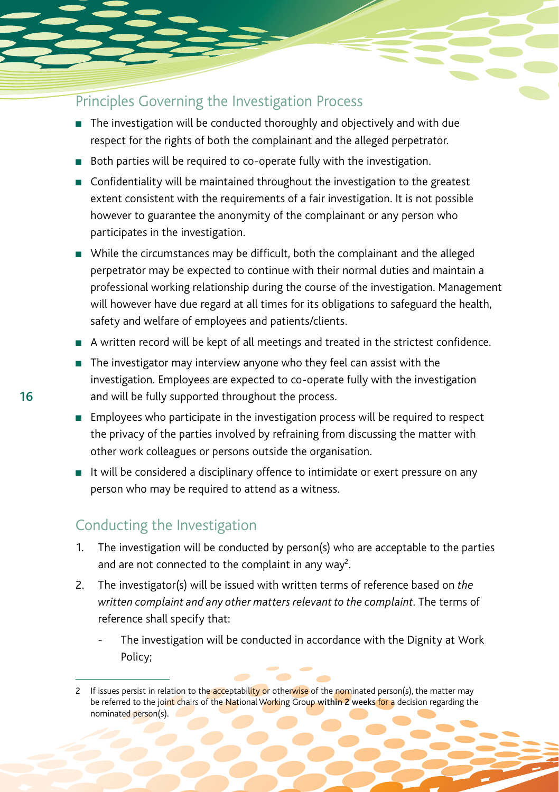### Principles Governing the Investigation Process

- $\blacksquare$  The investigation will be conducted thoroughly and objectively and with due respect for the rights of both the complainant and the alleged perpetrator.
- **n** Both parties will be required to co-operate fully with the investigation.
- $\blacksquare$  Confidentiality will be maintained throughout the investigation to the greatest extent consistent with the requirements of a fair investigation. It is not possible however to guarantee the anonymity of the complainant or any person who participates in the investigation.
- <sup>n</sup> While the circumstances may be difficult, both the complainant and the alleged perpetrator may be expected to continue with their normal duties and maintain a professional working relationship during the course of the investigation. Management will however have due regard at all times for its obligations to safeguard the health, safety and welfare of employees and patients/clients.
- <sup>n</sup> A written record will be kept of all meetings and treated in the strictest confidence.
- $\blacksquare$  The investigator may interview anyone who they feel can assist with the investigation. Employees are expected to co-operate fully with the investigation and will be fully supported throughout the process.
- $\blacksquare$  Employees who participate in the investigation process will be required to respect the privacy of the parties involved by refraining from discussing the matter with other work colleagues or persons outside the organisation.
- It will be considered a disciplinary offence to intimidate or exert pressure on any person who may be required to attend as a witness.

### Conducting the Investigation

- 1. The investigation will be conducted by person(s) who are acceptable to the parties and are not connected to the complaint in any way<sup>2</sup>. .
- 2. The investigator(s) will be issued with written terms of reference based on *the written complaint and any other matters relevant to the complaint*. The terms of reference shall specify that:
	- The investigation will be conducted in accordance with the Dignity at Work Policy;

<sup>2</sup> If issues persist in relation to the acceptability or otherwise of the nominated person(s), the matter may be referred to the joint chairs of the National Working Group within 2 weeks for a decision regarding the nominated person(s).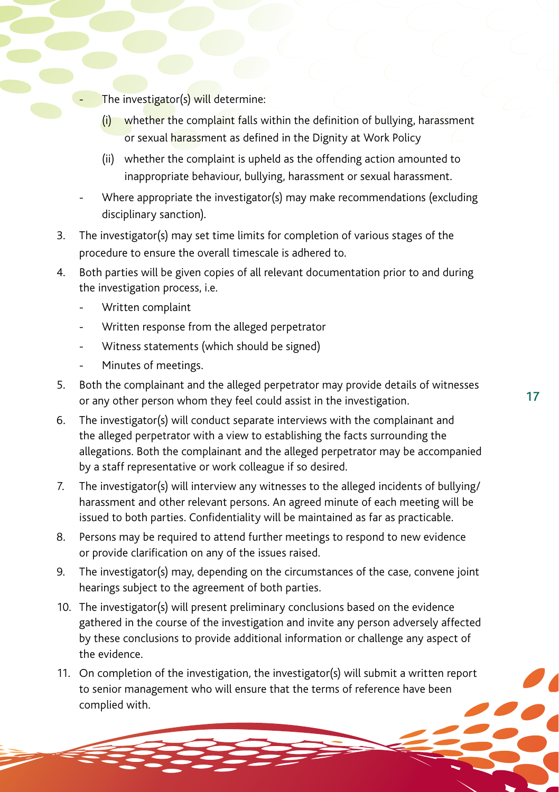- The investigator(s) will determine:
	- (i) whether the complaint falls within the definition of bullying, harassment or sexual harassment as defined in the Dignity at Work Policy
	- (ii) whether the complaint is upheld as the offending action amounted to inappropriate behaviour, bullying, harassment or sexual harassment.
- Where appropriate the investigator(s) may make recommendations (excluding disciplinary sanction).
- 3. The investigator(s) may set time limits for completion of various stages of the procedure to ensure the overall timescale is adhered to.
- 4. Both parties will be given copies of all relevant documentation prior to and during the investigation process, i.e.
	- Written complaint
	- Written response from the alleged perpetrator
	- Witness statements (which should be signed)
	- Minutes of meetings.
- 5. Both the complainant and the alleged perpetrator may provide details of witnesses or any other person whom they feel could assist in the investigation.
- 6. The investigator(s) will conduct separate interviews with the complainant and the alleged perpetrator with a view to establishing the facts surrounding the allegations. Both the complainant and the alleged perpetrator may be accompanied by a staff representative or work colleague if so desired.
- 7. The investigator(s) will interview any witnesses to the alleged incidents of bullying/ harassment and other relevant persons. An agreed minute of each meeting will be issued to both parties. Confidentiality will be maintained as far as practicable.
- 8. Persons may be required to attend further meetings to respond to new evidence or provide clarification on any of the issues raised.
- 9. The investigator(s) may, depending on the circumstances of the case, convene joint hearings subject to the agreement of both parties.
- 10. The investigator(s) will present preliminary conclusions based on the evidence gathered in the course of the investigation and invite any person adversely affected by these conclusions to provide additional information or challenge any aspect of the evidence.
- 11. On completion of the investigation, the investigator(s) will submit a written report to senior management who will ensure that the terms of reference have been complied with.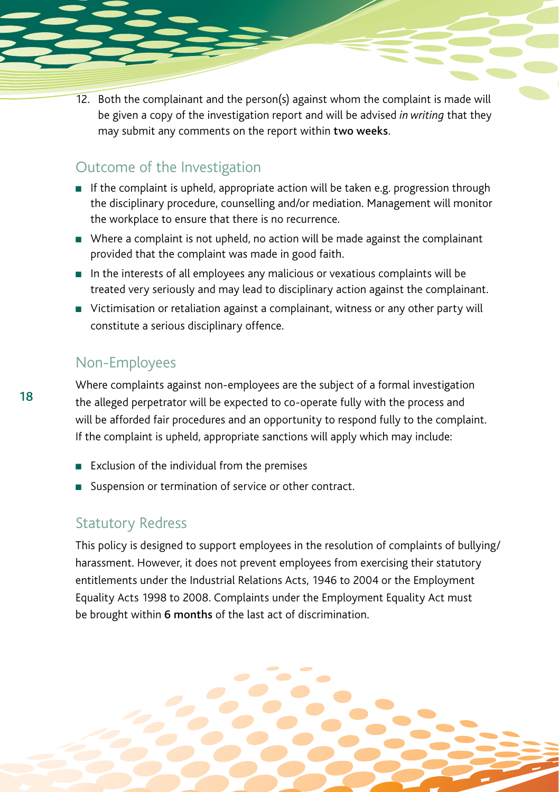12. Both the complainant and the person(s) against whom the complaint is made will be given a copy of the investigation report and will be advised *in writing* that they may submit any comments on the report within two weeks.

### Outcome of the Investigation

- $\blacksquare$  If the complaint is upheld, appropriate action will be taken e.g. progression through the disciplinary procedure, counselling and/or mediation. Management will monitor the workplace to ensure that there is no recurrence.
- <sup>n</sup> Where a complaint is not upheld, no action will be made against the complainant provided that the complaint was made in good faith.
- $\blacksquare$  In the interests of all employees any malicious or vexatious complaints will be treated very seriously and may lead to disciplinary action against the complainant.
- Victimisation or retaliation against a complainant, witness or any other party will constitute a serious disciplinary offence.

### Non-Employees

Where complaints against non-employees are the subject of a formal investigation the alleged perpetrator will be expected to co-operate fully with the process and will be afforded fair procedures and an opportunity to respond fully to the complaint. If the complaint is upheld, appropriate sanctions will apply which may include:

- $\blacksquare$  Exclusion of the individual from the premises
- Suspension or termination of service or other contract.

#### Statutory Redress

This policy is designed to support employees in the resolution of complaints of bullying/ harassment. However, it does not prevent employees from exercising their statutory entitlements under the Industrial Relations Acts, 1946 to 2004 or the Employment Equality Acts 1998 to 2008. Complaints under the Employment Equality Act must be brought within 6 months of the last act of discrimination.

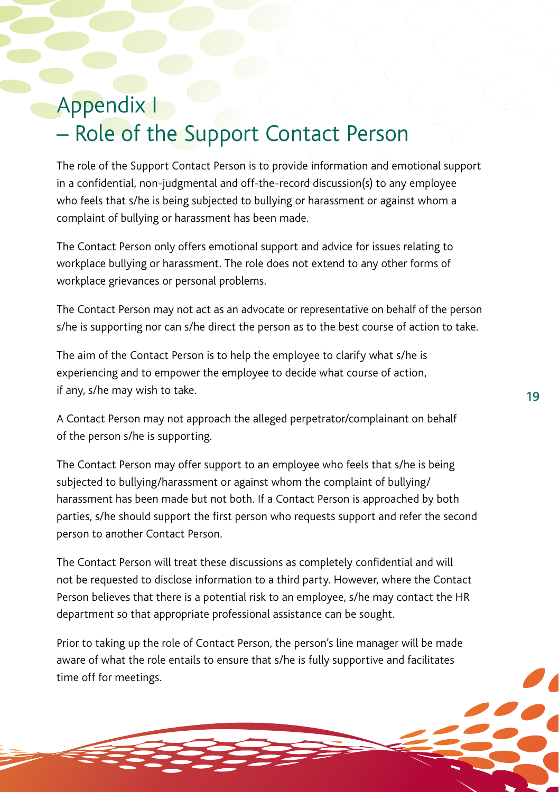### Appendix I – Role of the Support Contact Person

The role of the Support Contact Person is to provide information and emotional support in a confidential, non-judgmental and off-the-record discussion(s) to any employee who feels that s/he is being subjected to bullying or harassment or against whom a complaint of bullying or harassment has been made.

The Contact Person only offers emotional support and advice for issues relating to workplace bullying or harassment. The role does not extend to any other forms of workplace grievances or personal problems.

The Contact Person may not act as an advocate or representative on behalf of the person s/he is supporting nor can s/he direct the person as to the best course of action to take.

The aim of the Contact Person is to help the employee to clarify what s/he is experiencing and to empower the employee to decide what course of action, if any, s/he may wish to take.

A Contact Person may not approach the alleged perpetrator/complainant on behalf of the person s/he is supporting.

The Contact Person may offer support to an employee who feels that s/he is being subjected to bullying/harassment or against whom the complaint of bullying/ harassment has been made but not both. If a Contact Person is approached by both parties, s/he should support the first person who requests support and refer the second person to another Contact Person.

The Contact Person will treat these discussions as completely confidential and will not be requested to disclose information to a third party. However, where the Contact Person believes that there is a potential risk to an employee, s/he may contact the HR department so that appropriate professional assistance can be sought.

Prior to taking up the role of Contact Person, the person's line manager will be made aware of what the role entails to ensure that s/he is fully supportive and facilitates time off for meetings.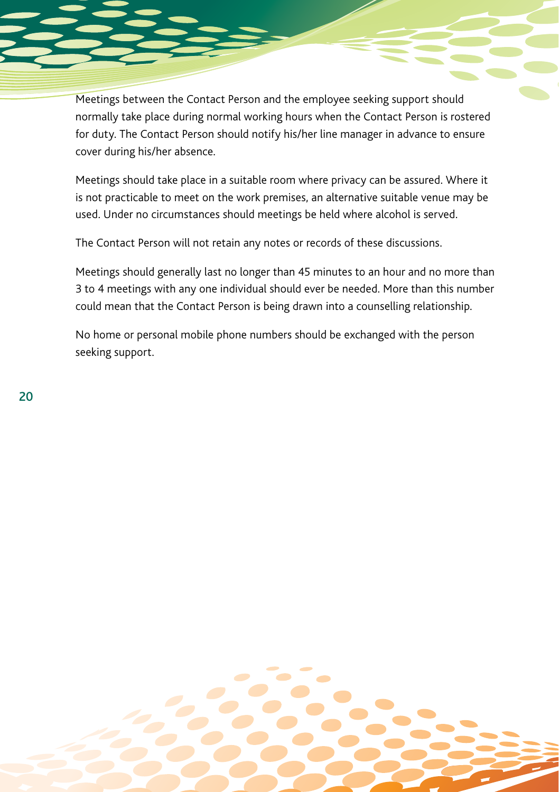Meetings between the Contact Person and the employee seeking support should normally take place during normal working hours when the Contact Person is rostered for duty. The Contact Person should notify his/her line manager in advance to ensure cover during his/her absence.

Meetings should take place in a suitable room where privacy can be assured. Where it is not practicable to meet on the work premises, an alternative suitable venue may be used. Under no circumstances should meetings be held where alcohol is served.

The Contact Person will not retain any notes or records of these discussions.

Meetings should generally last no longer than 45 minutes to an hour and no more than 3 to 4 meetings with any one individual should ever be needed. More than this number could mean that the Contact Person is being drawn into a counselling relationship.

No home or personal mobile phone numbers should be exchanged with the person seeking support.

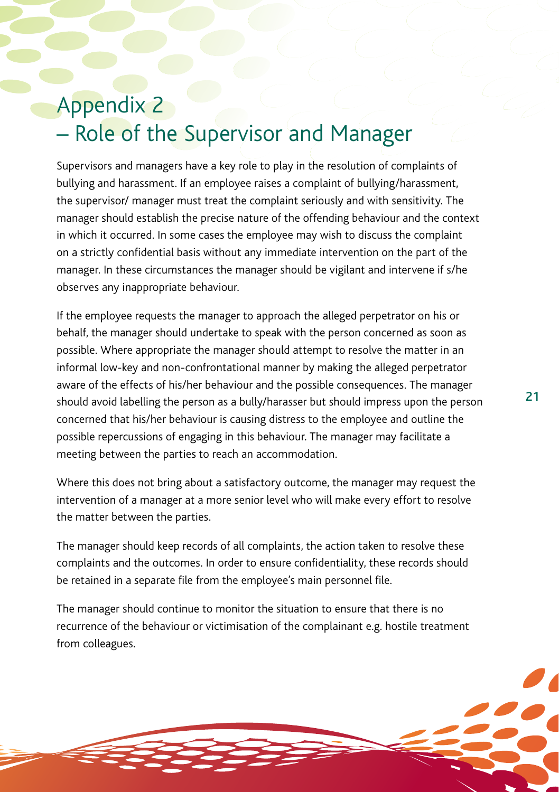# Appendix 2 – Role of the Supervisor and Manager

Supervisors and managers have a key role to play in the resolution of complaints of bullying and harassment. If an employee raises a complaint of bullying/harassment, the supervisor/ manager must treat the complaint seriously and with sensitivity. The manager should establish the precise nature of the offending behaviour and the context in which it occurred. In some cases the employee may wish to discuss the complaint on a strictly confidential basis without any immediate intervention on the part of the manager. In these circumstances the manager should be vigilant and intervene if s/he observes any inappropriate behaviour.

If the employee requests the manager to approach the alleged perpetrator on his or behalf, the manager should undertake to speak with the person concerned as soon as possible. Where appropriate the manager should attempt to resolve the matter in an informal low-key and non-confrontational manner by making the alleged perpetrator aware of the effects of his/her behaviour and the possible consequences. The manager should avoid labelling the person as a bully/harasser but should impress upon the person concerned that his/her behaviour is causing distress to the employee and outline the possible repercussions of engaging in this behaviour. The manager may facilitate a meeting between the parties to reach an accommodation.

Where this does not bring about a satisfactory outcome, the manager may request the intervention of a manager at a more senior level who will make every effort to resolve the matter between the parties.

The manager should keep records of all complaints, the action taken to resolve these complaints and the outcomes. In order to ensure confidentiality, these records should be retained in a separate file from the employee's main personnel file.

The manager should continue to monitor the situation to ensure that there is no recurrence of the behaviour or victimisation of the complainant e.g. hostile treatment from colleagues.